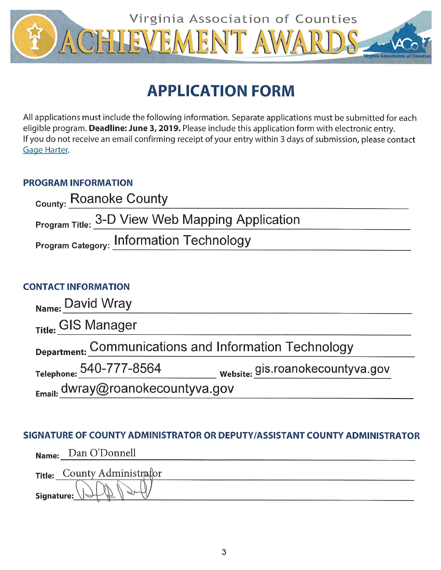

# **APPLICATION FORM**

All applications must include the following information. Separate applications must be submitted for each eligible program. Deadline: June 3, 2019. Please include this application form with electronic entry. If you do not receive an email confirming receipt of your entry within 3 days of submission, please contact Gage Harter.

## **PROGRAM INFORMATION**

| County: Roanoke County                          |  |
|-------------------------------------------------|--|
| Program Title: 3-D View Web Mapping Application |  |
| Program Category: Information Technology        |  |

## **CONTACT INFORMATION**

| Name: David Wray                                      |                                  |
|-------------------------------------------------------|----------------------------------|
| Title: GIS Manager                                    |                                  |
| Department: Communications and Information Technology |                                  |
| Telephone: 540-777-8564                               | website: gis.roanokecountyva.gov |
| $_{\text{Email}}$ dwray@roanokecountyva.gov           |                                  |

## SIGNATURE OF COUNTY ADMINISTRATOR OR DEPUTY/ASSISTANT COUNTY ADMINISTRATOR

|            | Name: Dan O'Donnell         |
|------------|-----------------------------|
|            | Title: County Administrator |
| Signature: |                             |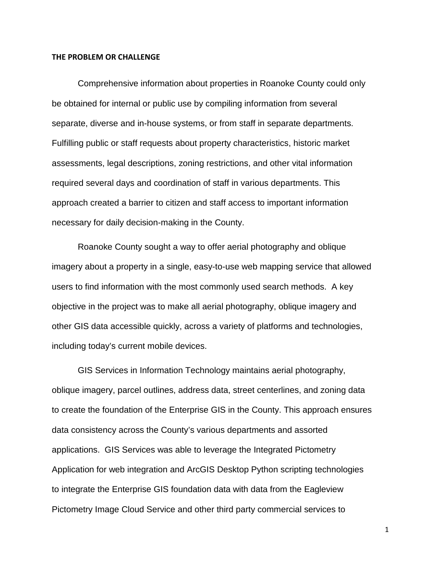### **THE PROBLEM OR CHALLENGE**

Comprehensive information about properties in Roanoke County could only be obtained for internal or public use by compiling information from several separate, diverse and in-house systems, or from staff in separate departments. Fulfilling public or staff requests about property characteristics, historic market assessments, legal descriptions, zoning restrictions, and other vital information required several days and coordination of staff in various departments. This approach created a barrier to citizen and staff access to important information necessary for daily decision-making in the County.

Roanoke County sought a way to offer aerial photography and oblique imagery about a property in a single, easy-to-use web mapping service that allowed users to find information with the most commonly used search methods. A key objective in the project was to make all aerial photography, oblique imagery and other GIS data accessible quickly, across a variety of platforms and technologies, including today's current mobile devices.

GIS Services in Information Technology maintains aerial photography, oblique imagery, parcel outlines, address data, street centerlines, and zoning data to create the foundation of the Enterprise GIS in the County. This approach ensures data consistency across the County's various departments and assorted applications. GIS Services was able to leverage the Integrated Pictometry Application for web integration and ArcGIS Desktop Python scripting technologies to integrate the Enterprise GIS foundation data with data from the Eagleview Pictometry Image Cloud Service and other third party commercial services to

1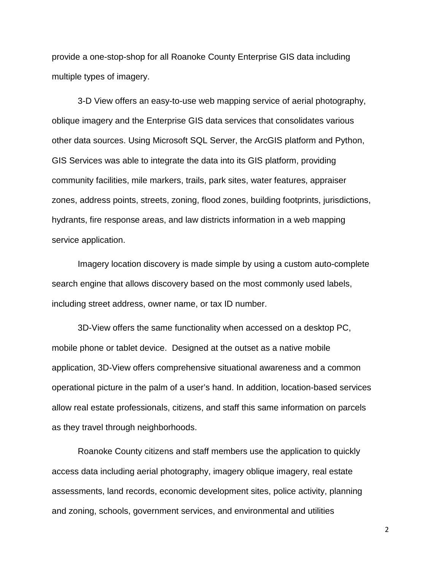provide a one-stop-shop for all Roanoke County Enterprise GIS data including multiple types of imagery.

3-D View offers an easy-to-use web mapping service of aerial photography, oblique imagery and the Enterprise GIS data services that consolidates various other data sources. Using Microsoft SQL Server, the ArcGIS platform and Python, GIS Services was able to integrate the data into its GIS platform, providing community facilities, mile markers, trails, park sites, water features, appraiser zones, address points, streets, zoning, flood zones, building footprints, jurisdictions, hydrants, fire response areas, and law districts information in a web mapping service application.

Imagery location discovery is made simple by using a custom auto-complete search engine that allows discovery based on the most commonly used labels, including street address, owner name, or tax ID number.

3D-View offers the same functionality when accessed on a desktop PC, mobile phone or tablet device. Designed at the outset as a native mobile application, 3D-View offers comprehensive situational awareness and a common operational picture in the palm of a user's hand. In addition, location-based services allow real estate professionals, citizens, and staff this same information on parcels as they travel through neighborhoods.

Roanoke County citizens and staff members use the application to quickly access data including aerial photography, imagery oblique imagery, real estate assessments, land records, economic development sites, police activity, planning and zoning, schools, government services, and environmental and utilities

2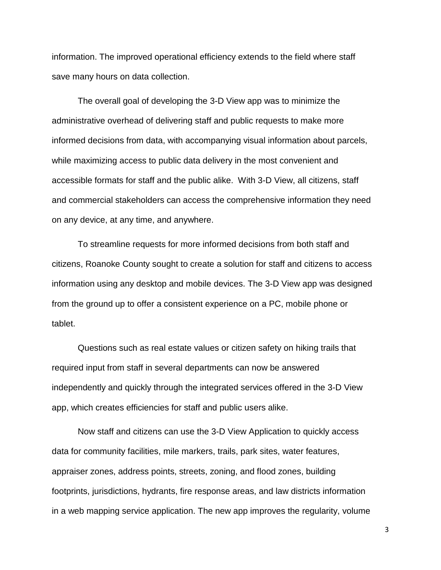information. The improved operational efficiency extends to the field where staff save many hours on data collection.

The overall goal of developing the 3-D View app was to minimize the administrative overhead of delivering staff and public requests to make more informed decisions from data, with accompanying visual information about parcels, while maximizing access to public data delivery in the most convenient and accessible formats for staff and the public alike. With 3-D View, all citizens, staff and commercial stakeholders can access the comprehensive information they need on any device, at any time, and anywhere.

To streamline requests for more informed decisions from both staff and citizens, Roanoke County sought to create a solution for staff and citizens to access information using any desktop and mobile devices. The 3-D View app was designed from the ground up to offer a consistent experience on a PC, mobile phone or tablet.

Questions such as real estate values or citizen safety on hiking trails that required input from staff in several departments can now be answered independently and quickly through the integrated services offered in the 3-D View app, which creates efficiencies for staff and public users alike.

Now staff and citizens can use the 3-D View Application to quickly access data for community facilities, mile markers, trails, park sites, water features, appraiser zones, address points, streets, zoning, and flood zones, building footprints, jurisdictions, hydrants, fire response areas, and law districts information in a web mapping service application. The new app improves the regularity, volume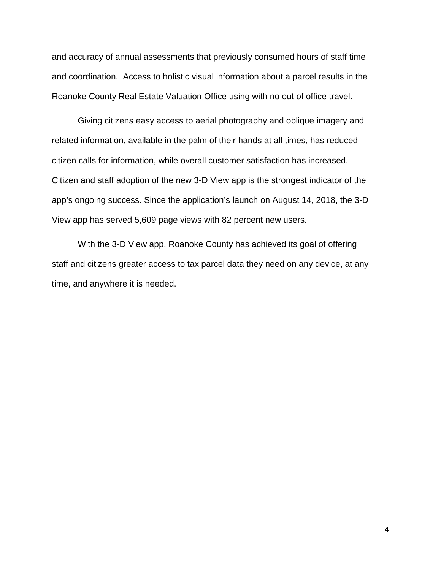and accuracy of annual assessments that previously consumed hours of staff time and coordination. Access to holistic visual information about a parcel results in the Roanoke County Real Estate Valuation Office using with no out of office travel.

Giving citizens easy access to aerial photography and oblique imagery and related information, available in the palm of their hands at all times, has reduced citizen calls for information, while overall customer satisfaction has increased. Citizen and staff adoption of the new 3-D View app is the strongest indicator of the app's ongoing success. Since the application's launch on August 14, 2018, the 3-D View app has served 5,609 page views with 82 percent new users.

With the 3-D View app, Roanoke County has achieved its goal of offering staff and citizens greater access to tax parcel data they need on any device, at any time, and anywhere it is needed.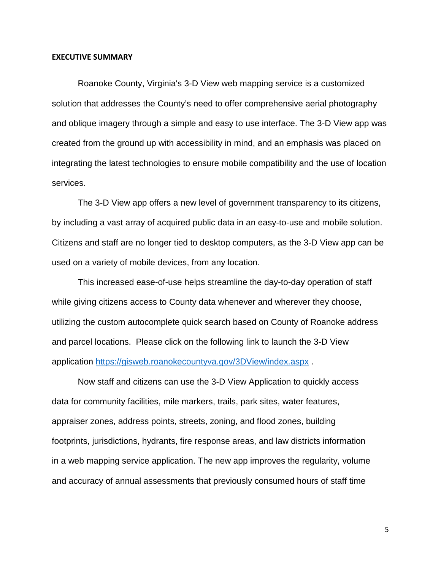#### **EXECUTIVE SUMMARY**

Roanoke County, Virginia's 3-D View web mapping service is a customized solution that addresses the County's need to offer comprehensive aerial photography and oblique imagery through a simple and easy to use interface. The 3-D View app was created from the ground up with accessibility in mind, and an emphasis was placed on integrating the latest technologies to ensure mobile compatibility and the use of location services.

The 3-D View app offers a new level of government transparency to its citizens, by including a vast array of acquired public data in an easy-to-use and mobile solution. Citizens and staff are no longer tied to desktop computers, as the 3-D View app can be used on a variety of mobile devices, from any location.

This increased ease-of-use helps streamline the day-to-day operation of staff while giving citizens access to County data whenever and wherever they choose, utilizing the custom autocomplete quick search based on County of Roanoke address and parcel locations. Please click on the following link to launch the 3-D View application<https://gisweb.roanokecountyva.gov/3DView/index.aspx> .

Now staff and citizens can use the 3-D View Application to quickly access data for community facilities, mile markers, trails, park sites, water features, appraiser zones, address points, streets, zoning, and flood zones, building footprints, jurisdictions, hydrants, fire response areas, and law districts information in a web mapping service application. The new app improves the regularity, volume and accuracy of annual assessments that previously consumed hours of staff time

5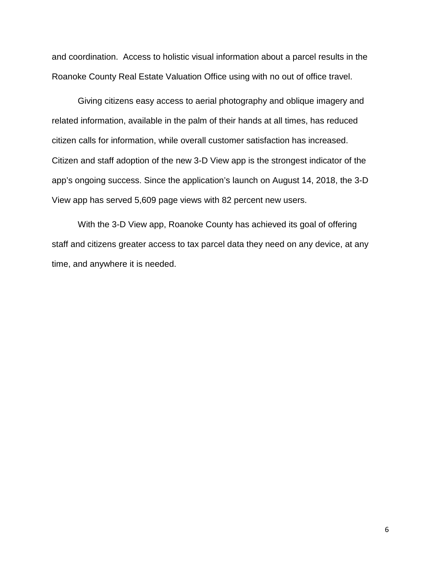and coordination. Access to holistic visual information about a parcel results in the Roanoke County Real Estate Valuation Office using with no out of office travel.

Giving citizens easy access to aerial photography and oblique imagery and related information, available in the palm of their hands at all times, has reduced citizen calls for information, while overall customer satisfaction has increased. Citizen and staff adoption of the new 3-D View app is the strongest indicator of the app's ongoing success. Since the application's launch on August 14, 2018, the 3-D View app has served 5,609 page views with 82 percent new users.

With the 3-D View app, Roanoke County has achieved its goal of offering staff and citizens greater access to tax parcel data they need on any device, at any time, and anywhere it is needed.